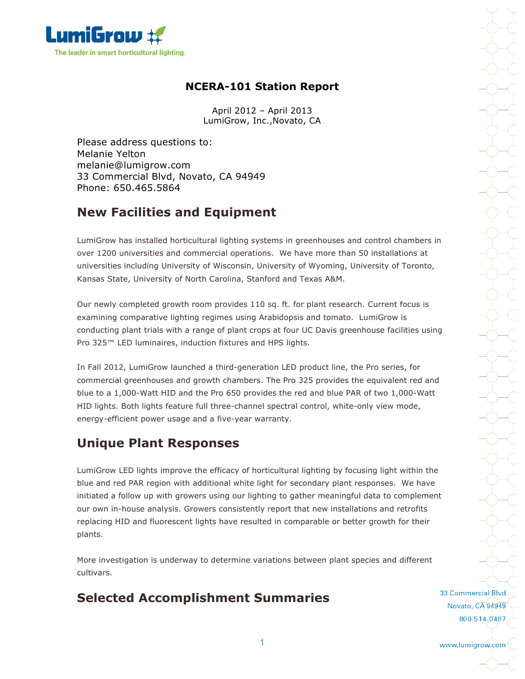

### **NCERA-101 Station Report**

April 2012 – April 2013 LumiGrow, Inc.,Novato, CA

Please address questions to: Melanie Yelton melanie@lumigrow.com 33 Commercial Blvd, Novato, CA 94949 Phone: 650.465.5864

### **New Facilities and Equipment**

LumiGrow has installed horticultural lighting systems in greenhouses and control chambers in over 1200 universities and commercial operations. We have more than 50 installations at universities including University of Wisconsin, University of Wyoming, University of Toronto, Kansas State, University of North Carolina, Stanford and Texas A&M.

Our newly completed growth room provides 110 sq. ft. for plant research. Current focus is examining comparative lighting regimes using Arabidopsis and tomato. LumiGrow is conducting plant trials with a range of plant crops at four UC Davis greenhouse facilities using Pro 325<sup>™</sup> LED luminaires, induction fixtures and HPS lights.

In Fall 2012, LumiGrow launched a third-generation LED product line, the Pro series, for commercial greenhouses and growth chambers. The Pro 325 provides the equivalent red and blue to a 1,000-Watt HID and the Pro 650 provides the red and blue PAR of two 1,000-Watt HID lights. Both lights feature full three-channel spectral control, white-only view mode, energy-efficient power usage and a five-year warranty.

### **Unique Plant Responses**

LumiGrow LED lights improve the efficacy of horticultural lighting by focusing light within the blue and red PAR region with additional white light for secondary plant responses. We have initiated a follow up with growers using our lighting to gather meaningful data to complement our own in-house analysis. Growers consistently report that new installations and retrofits replacing HID and fluorescent lights have resulted in comparable or better growth for their plants.

More investigation is underway to determine variations between plant species and different cultivars.

# **Selected Accomplishment Summaries**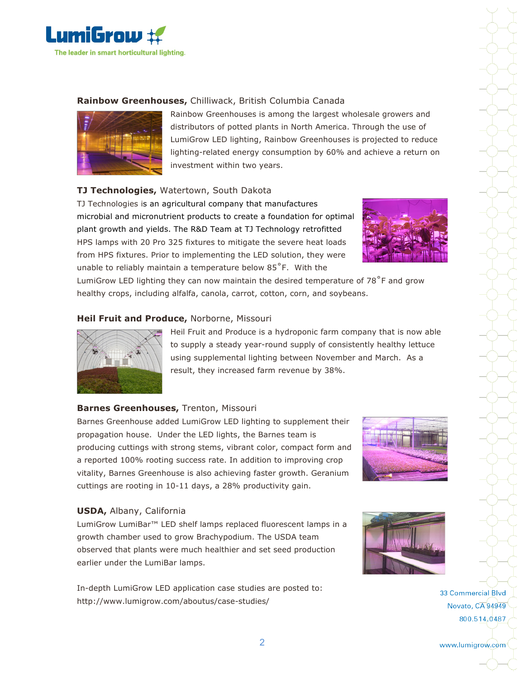

#### **Rainbow Greenhouses,** Chilliwack, British Columbia Canada



Rainbow Greenhouses is among the largest wholesale growers and distributors of potted plants in North America. Through the use of LumiGrow LED lighting, Rainbow Greenhouses is projected to reduce lighting-related energy consumption by 60% and achieve a return on investment within two years.

#### **TJ Technologies,** Watertown, South Dakota

TJ Technologies is an agricultural company that manufactures microbial and micronutrient products to create a foundation for optimal plant growth and yields. The R&D Team at TJ Technology retrofitted HPS lamps with 20 Pro 325 fixtures to mitigate the severe heat loads from HPS fixtures. Prior to implementing the LED solution, they were unable to reliably maintain a temperature below 85˚F. With the



LumiGrow LED lighting they can now maintain the desired temperature of 78<sup>°</sup>F and grow healthy crops, including alfalfa, canola, carrot, cotton, corn, and soybeans.

#### **Heil Fruit and Produce,** Norborne, Missouri



Heil Fruit and Produce is a hydroponic farm company that is now able to supply a steady year-round supply of consistently healthy lettuce using supplemental lighting between November and March. As a result, they increased farm revenue by 38%.

#### **Barnes Greenhouses,** Trenton, Missouri

Barnes Greenhouse added LumiGrow LED lighting to supplement their propagation house. Under the LED lights, the Barnes team is producing cuttings with strong stems, vibrant color, compact form and a reported 100% rooting success rate. In addition to improving crop vitality, Barnes Greenhouse is also achieving faster growth. Geranium cuttings are rooting in 10-11 days, a 28% productivity gain.



#### **USDA,** Albany, California

LumiGrow LumiBar™ LED shelf lamps replaced fluorescent lamps in a growth chamber used to grow Brachypodium. The USDA team observed that plants were much healthier and set seed production earlier under the LumiBar lamps.

In-depth LumiGrow LED application case studies are posted to: http://www.lumigrow.com/aboutus/case-studies/



33 Commercial Blvd Novato, CA 94949 800.514,0487